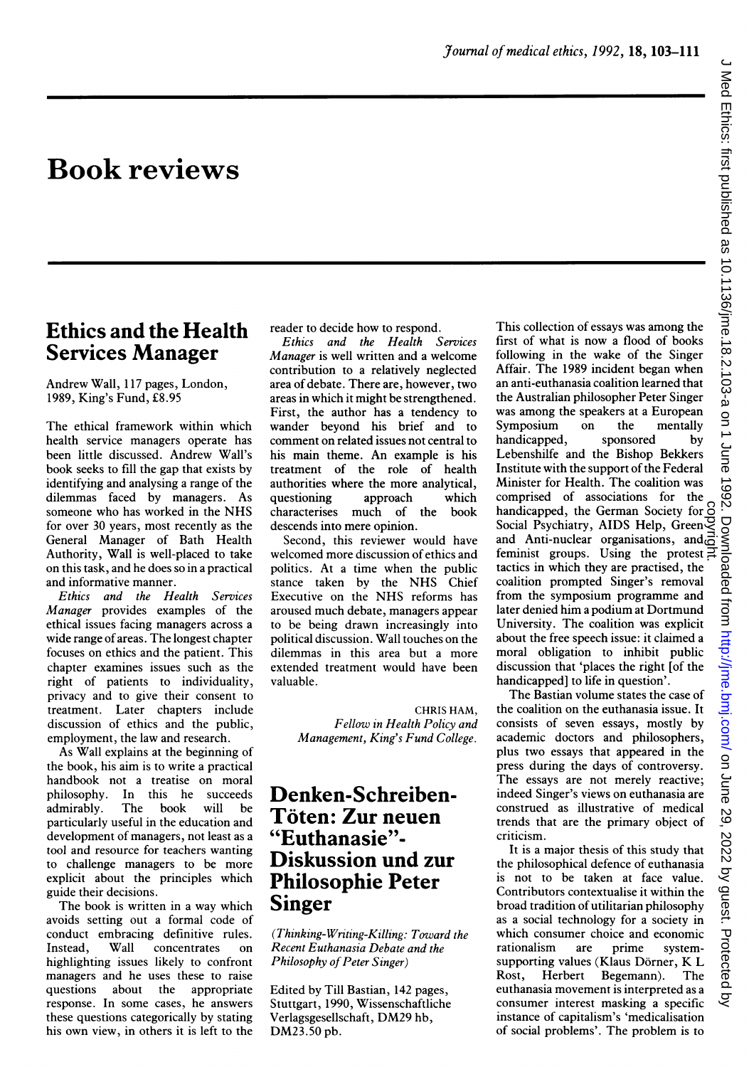# Book reviews

#### Ethics and the Health Services Manager

Andrew Wall, 117 pages, London, 1989, King's Fund, £8.95

The ethical framework within which health service managers operate has been little discussed. Andrew Wall's book seeks to fill the gap that exists by identifying and analysing a range of the dilemmas faced by managers. As someone who has worked in the NHS for over 30 years, most recently as the General Manager of Bath Health Authority, Wall is well-placed to take on this task, and he does so in a practical and informative manner.

Ethics and the Health Services Manager provides examples of the ethical issues facing managers across a wide range of areas. The longest chapter focuses on ethics and the patient. This chapter examines issues such as the right of patients to individuality, privacy and to give their consent to treatment. Later chapters include discussion of ethics and the public, employment, the law and research.

As Wall explains at the beginning of the book, his aim is to write a practical handbook not a treatise on moral philosophy. In this he succeeds admirably. The book will be particularly useful in the education and development of managers, not least as a tool and resource for teachers wanting to challenge managers to be more explicit about the principles which guide their decisions.

The book is written in a way which avoids setting out a formal code of conduct embracing definitive rules.<br>Instead, Wall concentrates on concentrates on highlighting issues likely to confront managers and he uses these to raise questions about the appropriate response. In some cases, he answers these questions categorically by stating his own view, in others it is left to the reader to decide how to respond.

Ethics and the Health Services Manager is well written and a welcome contribution to a relatively neglected area of debate. There are, however, two areas in which it might be strengthened. First, the author has a tendency to wander beyond his brief and to comment on related issues not central to his main theme. An example is his treatment of the role of health authorities where the more analytical,<br>questioning approach which questioning characterises much of the book descends into mere opinion.

Second, this reviewer would have welcomed more discussion of ethics and politics. At a time when the public stance taken by the NHS Chief Executive on the NHS reforms has aroused much debate, managers appear to be being drawn increasingly into political discussion. Wall touches on the dilemmas in this area but a more extended treatment would have been valuable.

> CHRIS HAM, Fellow in Health Policy and Management, King's Fund College.

#### Denken-Schreiben-Toten: Zur neuen "Euthanasie"- Diskussion und zur Philosophie Peter Singer

(Thinking-Writing-Killing: Toward the Recent Euthanasia Debate and the Philosophy of Peter Singer)

Edited by Till Bastian, 142 pages, Stuttgart, 1990, Wissenschaftliche Verlagsgesellschaft, DM29 hb, DM23.50 pb.

This collection of essays was among the first of what is now a flood of books following in the wake of the Singer Affair. The 1989 incident began when an anti-euthanasia coalition learned that the Australian philosopher Peter Singer was among the speakers at a European Symposium on the mentally handicapped, sponsored by Lebenshilfe and the Bishop Bekkers Institute with the support of the Federal Minister for Health. The coalition was comprised of associations for the handicapped, the German Society for 8 Social Psychiatry, AIDS Help, Green and Anti-nuclear organisations, and  $\vec{a}$ feminist groups. Using the protest  $\overline{z}$ tactics in which they are practised, the coalition prompted Singer's removal from the symposium programme and later denied him <sup>a</sup> podium at Dortmund University. The coalition was explicit about the free speech issue: it claimed a moral obligation to inhibit public discussion that 'places the right [of the handicapped] to life in question'. copyright.

The Bastian volume states the case of the coalition on the euthanasia issue. It consists of seven essays, mostly by academic doctors and philosophers, plus two essays that appeared in the press during the days of controversy. The essays are not merely reactive; indeed Singer's views on euthanasia are construed as illustrative of medical trends that are the primary object of criticism.

It is a major thesis of this study that the philosophical defence of euthanasia is not to be taken at face value. Contributors contextualise it within the broad tradition of utilitarian philosophy as a social technology for a society in which consumer choice and economic<br>rationalism are prime systemrationalism are prime systemsupporting values (Klaus Dörner, K L<br>Rost, Herbert Begemann). The  $Bee$ emann). euthanasia movement is interpreted as a consumer interest masking a specific instance of capitalism's 'medicalisation of social problems'. The problem is to